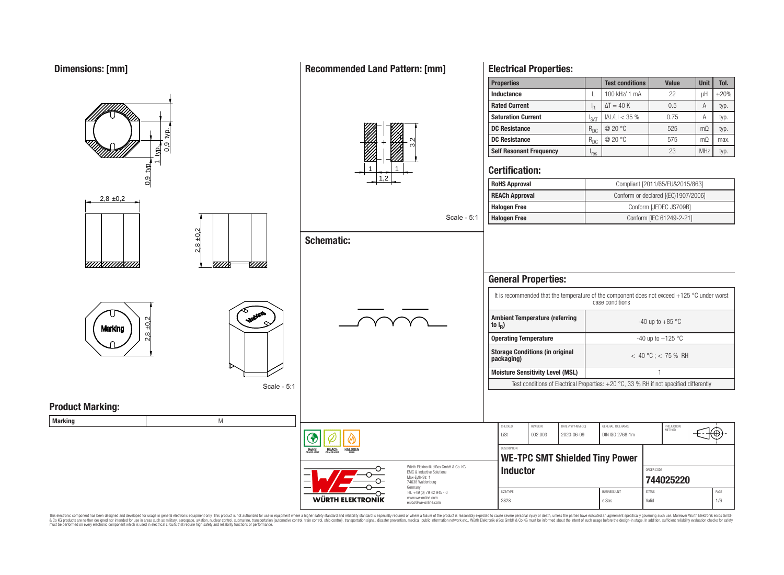# **Dimensions: [mm]**

0,9 typ.

 $2,8 \pm 0,2$ 

 $2,8 \pm 0.2$ 

<u>VIIIXIIIIIIXIIII</u>

**Marking** 

**Product Marking:**

typ.  $\frac{1}{2}$ 

2,8 ±0,2

Scale - 5:1

**W///** 

**WANTER** 

# **Recommended Land Pattern: [mm]**



**Schematic:**

# Scale - 5:1

# **Electrical Properties:**

| <b>Properties</b>              |                  | <b>Test conditions</b> | <b>Value</b> | <b>Unit</b>    | Tol.       |
|--------------------------------|------------------|------------------------|--------------|----------------|------------|
| Inductance                     |                  | 100 kHz/ 1 mA          | 22           | uН             | $\pm 20\%$ |
| <b>Rated Current</b>           | ΙŖ               | $\Delta T = 40 K$      | 0.5          | A              | typ.       |
| <b>Saturation Current</b>      | <sup>I</sup> SAT | $ \Delta L/L  < 35%$   | 0.75         | А              | typ.       |
| <b>DC Resistance</b>           | $R_{DC}$         | @ 20 °C                | 525          | $m\Omega$      | typ.       |
| <b>DC Resistance</b>           | $R_{DC}$         | @20 °C                 | 575          | m <sub>O</sub> | max.       |
| <b>Self Resonant Frequency</b> | 'res             |                        | 23           | <b>MHz</b>     | typ.       |

#### **Certification:**

| <b>RoHS Approval</b>  | Compliant [2011/65/EU&2015/863]     |
|-----------------------|-------------------------------------|
| <b>REACh Approval</b> | Conform or declared [(EC)1907/2006] |
| <b>Halogen Free</b>   | Conform [JEDEC JS709B]              |
| <b>Halogen Free</b>   | Conform [IEC 61249-2-21]            |

| <b>General Properties:</b>                                                                                       |                                                                                                                                                                                                            |  |  |  |  |  |
|------------------------------------------------------------------------------------------------------------------|------------------------------------------------------------------------------------------------------------------------------------------------------------------------------------------------------------|--|--|--|--|--|
| It is recommended that the temperature of the component does not exceed $+125$ °C under worst<br>case conditions |                                                                                                                                                                                                            |  |  |  |  |  |
| <b>Ambient Temperature (referring)</b><br>to $I_R$ )                                                             | $-40$ up to $+85$ °C                                                                                                                                                                                       |  |  |  |  |  |
| <b>Operating Temperature</b>                                                                                     | -40 up to $+125$ °C                                                                                                                                                                                        |  |  |  |  |  |
| <b>Storage Conditions (in original</b><br>packaging)                                                             | $<$ 40 °C : $<$ 75 % RH                                                                                                                                                                                    |  |  |  |  |  |
| <b>Moisture Sensitivity Level (MSL)</b>                                                                          |                                                                                                                                                                                                            |  |  |  |  |  |
|                                                                                                                  | $T_{\text{total}}$ and $R_{\text{total}}$ and $T_{\text{total}}$ and $D_{\text{total}}$ and $D_{\text{total}}$ and $D_{\text{total}}$ and $D_{\text{total}}$ and $R_{\text{total}}$ and $R_{\text{total}}$ |  |  |  |  |  |

Test conditions of Electrical Properties:  $+20\degree C$ , 33 % RH if not specified differently

| <b>Marking</b> |                                                                                                                                      |                                                                                   |                   |                                               |                                 |                                      |                         |             |
|----------------|--------------------------------------------------------------------------------------------------------------------------------------|-----------------------------------------------------------------------------------|-------------------|-----------------------------------------------|---------------------------------|--------------------------------------|-------------------------|-------------|
|                |                                                                                                                                      |                                                                                   | CHECKED<br>LiSt   | REVISION<br>002.003                           | DATE (YYYY-MM-DD)<br>2020-06-09 | GENERAL TOLERANCE<br>DIN ISO 2768-1m | PROJECTION<br>METHOD    | ∈ю          |
|                | <b>REACH</b><br>COMPLIANT<br><b>HALOGEN</b><br>ROHS<br>COMPLIANT                                                                     |                                                                                   |                   | DESCRIPTION<br>WE-TPC SMT Shielded Tiny Power |                                 |                                      |                         |             |
|                | Würth Elektronik eiSos GmbH & Co. KG<br>EMC & Inductive Solutions<br>Max-Eyth-Str. 1<br>$\overline{\phantom{0}}$<br>74638 Waldenburg |                                                                                   | Inductor          |                                               |                                 |                                      | ORDER CODE<br>744025220 |             |
|                | WÜRTH ELEKTRONIK                                                                                                                     | Germany<br>Tel. +49 (0) 79 42 945 - 0<br>www.we-online.com<br>eiSos@we-online.com | SIZE/TYPE<br>2828 |                                               |                                 | <b>BUSINESS UNIT</b><br>eiSos        | <b>STATUS</b><br>Valid  | PAGE<br>1/6 |

This electronic component has been designed and developed for usage in general electronic equipment only. This product is not authorized for subserved requipment where a higher selection equipment where a higher selection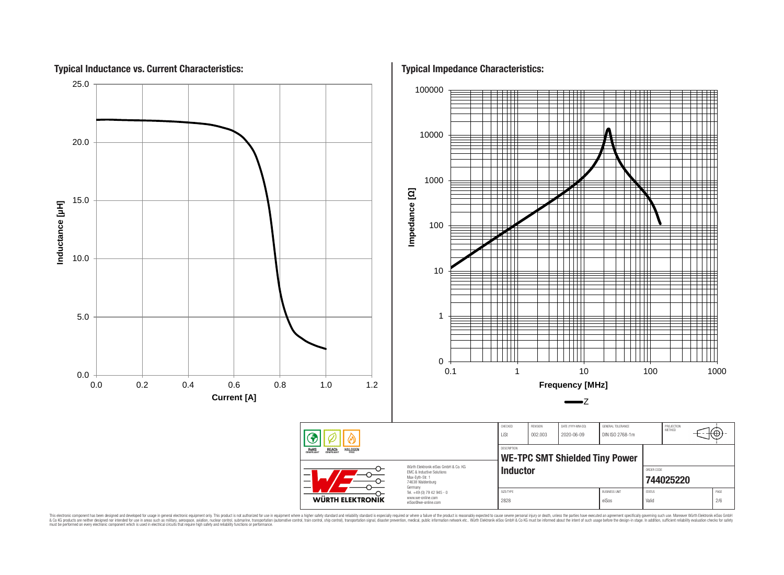

This electronic component has been designed and developed for usage in general electronic equipment only. This product is not authorized for use in equipment where a higher safely standard and reliability standard si espec & Ook product a label and the membed of the seasuch as marked and as which such a membed and the such assume that income in the seasuch and the simulation and the such assume that include to the such a membed and the such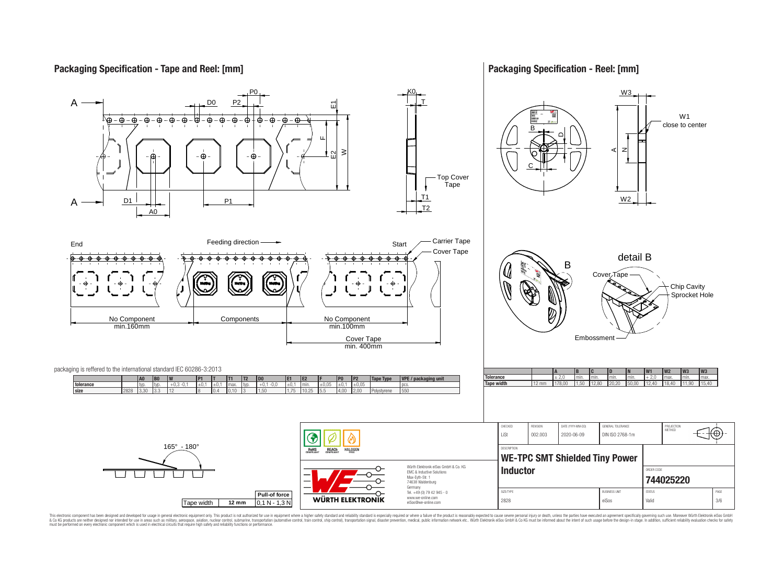# **Packaging Specification - Tape and Reel: [mm]**

## **Packaging Specification - Reel: [mm]**



This electronic component has been designed and developed for usage in general electronic equipment only. This product is not authorized for use in equipment where a higher safely standard and reliability standard si espec & Ook product a label and the membed of the seasuch as marked and as which such a membed and the such assume that income in the seasuch and the simulation and the such assume that include to the such a membed and the such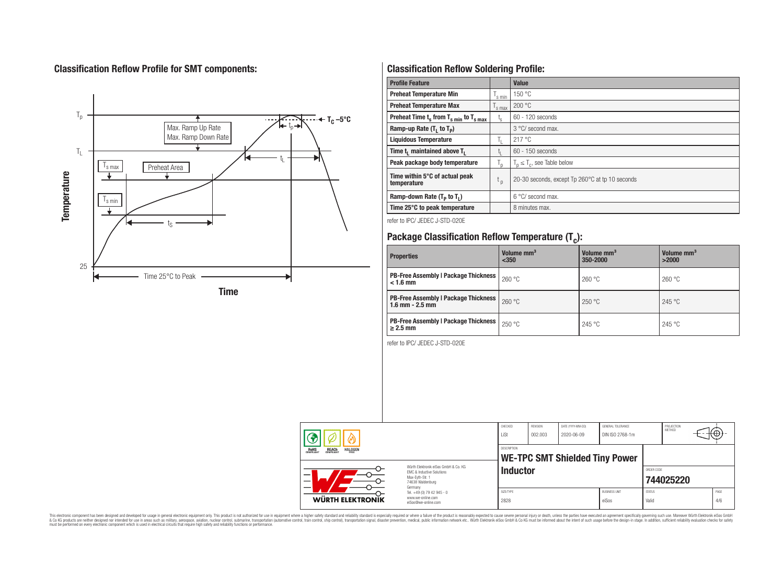# **Classification Reflow Profile for SMT components:**



# **Classification Reflow Soldering Profile:**

| <b>Profile Feature</b>                             |                    | <b>Value</b>                                    |
|----------------------------------------------------|--------------------|-------------------------------------------------|
| <b>Preheat Temperature Min</b>                     | 's min             | 150 °C                                          |
| <b>Preheat Temperature Max</b>                     | <sup>I</sup> s max | 200 °C                                          |
| Preheat Time $t_s$ from $T_{s,min}$ to $T_{s,max}$ | $t_{s}$            | $60 - 120$ seconds                              |
| Ramp-up Rate $(T_1$ to $T_p$ )                     |                    | $3^{\circ}$ C/ second max.                      |
| <b>Liquidous Temperature</b>                       | Ъ.                 | 217 °C                                          |
| Time t, maintained above T,                        | Ţ.                 | 60 - 150 seconds                                |
| Peak package body temperature                      | $T_{p}$            | $T_n \leq T_c$ , see Table below                |
| Time within 5°C of actual peak<br>temperature      | $t_{p}$            | 20-30 seconds, except Tp 260°C at tp 10 seconds |
| Ramp-down Rate $(T_P$ to $T_I$ )                   |                    | $6^{\circ}$ C/ second max.                      |
| Time 25°C to peak temperature                      |                    | 8 minutes max.                                  |

refer to IPC/ JEDEC J-STD-020E

# **Package Classification Reflow Temperature (T<sup>c</sup> ):**

| <b>Properties</b>                                                    | Volume mm <sup>3</sup><br>$350$ | Volume mm <sup>3</sup><br>350-2000 | Volume mm <sup>3</sup><br>>2000 |
|----------------------------------------------------------------------|---------------------------------|------------------------------------|---------------------------------|
| <b>PB-Free Assembly   Package Thickness</b><br>$< 1.6$ mm            | 260 °C                          | 260 °C                             | 260 °C                          |
| <b>PB-Free Assembly   Package Thickness  </b><br>$1.6$ mm $- 2.5$ mm | 260 °C                          | 250 °C                             | 245 °C                          |
| <b>PB-Free Assembly   Package Thickness  </b><br>$\geq$ 2.5 mm       | 250 °C                          | 245 °C                             | 245 °C                          |

refer to IPC/ JEDEC J-STD-020E

|                                                                         |                                                                                                                     | CHECKED<br>LiSt    | REVISION<br>002.003 | DATE (YYYY-MM-DD)<br>2020-06-09       | GENERAL TOLERANCE<br>DIN ISO 2768-1m |                        | PROJECTION<br>METHOD | ₩           |
|-------------------------------------------------------------------------|---------------------------------------------------------------------------------------------------------------------|--------------------|---------------------|---------------------------------------|--------------------------------------|------------------------|----------------------|-------------|
| <b>REACH</b><br>COMPLIANT<br><b>HALOGEN</b><br><b>ROHS</b><br>COMPLIANT |                                                                                                                     | <b>DESCRIPTION</b> |                     | <b>WE-TPC SMT Shielded Tiny Power</b> |                                      |                        |                      |             |
| -<br>$\overline{\phantom{0}}$                                           | Würth Flektronik eiSos GmbH & Co. KG<br>FMC & Inductive Solutions<br>Max-Evth-Str. 1<br>74638 Waldenburg<br>Germany | Inductor           |                     |                                       |                                      | ORDER CODE             | 744025220            |             |
| WÜRTH ELEKTRONIK                                                        | Tel. +49 (0) 79 42 945 - 0<br>www.we-online.com<br>eiSos@we-online.com                                              | SIZE/TYPE<br>2828  |                     |                                       | <b>BUSINESS UNIT</b><br>eiSos        | <b>STATUS</b><br>Valid |                      | PAGE<br>4/6 |

This electronic component has been designed and developed for usage in general electronic equipment only. This product is not authorized for subserved requipment where a higher selection equipment where a higher selection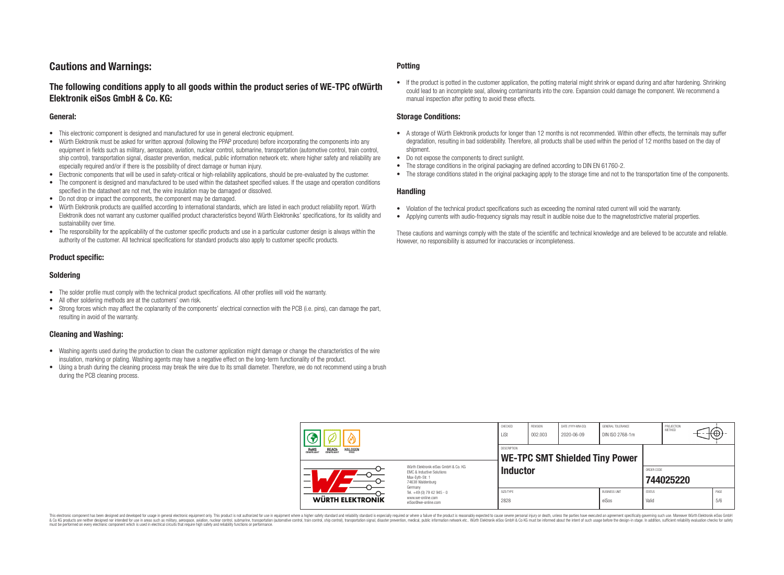# **Cautions and Warnings:**

# **The following conditions apply to all goods within the product series of WE-TPC ofWürth Elektronik eiSos GmbH & Co. KG:**

#### **General:**

- This electronic component is designed and manufactured for use in general electronic equipment.
- Würth Elektronik must be asked for written approval (following the PPAP procedure) before incorporating the components into any equipment in fields such as military, aerospace, aviation, nuclear control, submarine, transportation (automotive control, train control, ship control), transportation signal, disaster prevention, medical, public information network etc. where higher safety and reliability are especially required and/or if there is the possibility of direct damage or human injury.
- Electronic components that will be used in safety-critical or high-reliability applications, should be pre-evaluated by the customer.
- The component is designed and manufactured to be used within the datasheet specified values. If the usage and operation conditions specified in the datasheet are not met, the wire insulation may be damaged or dissolved.
- Do not drop or impact the components, the component may be damaged.
- Würth Elektronik products are qualified according to international standards, which are listed in each product reliability report. Würth Elektronik does not warrant any customer qualified product characteristics beyond Würth Elektroniks' specifications, for its validity and sustainability over time.
- The responsibility for the applicability of the customer specific products and use in a particular customer design is always within the authority of the customer. All technical specifications for standard products also apply to customer specific products.

#### **Product specific:**

#### **Soldering**

- The solder profile must comply with the technical product specifications. All other profiles will void the warranty.
- All other soldering methods are at the customers' own risk.
- Strong forces which may affect the coplanarity of the components' electrical connection with the PCB (i.e. pins), can damage the part, resulting in avoid of the warranty.

#### **Cleaning and Washing:**

- Washing agents used during the production to clean the customer application might damage or change the characteristics of the wire insulation, marking or plating. Washing agents may have a negative effect on the long-term functionality of the product.
- Using a brush during the cleaning process may break the wire due to its small diameter. Therefore, we do not recommend using a brush during the PCB cleaning process.

#### **Potting**

• If the product is potted in the customer application, the potting material might shrink or expand during and after hardening. Shrinking could lead to an incomplete seal, allowing contaminants into the core. Expansion could damage the component. We recommend a manual inspection after potting to avoid these effects.

#### **Storage Conditions:**

- A storage of Würth Elektronik products for longer than 12 months is not recommended. Within other effects, the terminals may suffer degradation, resulting in bad solderability. Therefore, all products shall be used within the period of 12 months based on the day of shipment.
- Do not expose the components to direct sunlight.
- The storage conditions in the original packaging are defined according to DIN EN 61760-2.
- The storage conditions stated in the original packaging apply to the storage time and not to the transportation time of the components.

#### **Handling**

- Violation of the technical product specifications such as exceeding the nominal rated current will void the warranty.
- Applying currents with audio-frequency signals may result in audible noise due to the magnetostrictive material properties.

These cautions and warnings comply with the state of the scientific and technical knowledge and are believed to be accurate and reliable. However, no responsibility is assumed for inaccuracies or incompleteness.

|                                                                                                          |                                                                                   | CHECKED<br>LiSt   | REVISION<br>002.003 | DATE (YYYY-MM-DD)<br>2020-06-09       | GENERAL TOLERANCE<br>DIN ISO 2768-1m |                        | PROJECTION<br>METHOD | ťΦ          |
|----------------------------------------------------------------------------------------------------------|-----------------------------------------------------------------------------------|-------------------|---------------------|---------------------------------------|--------------------------------------|------------------------|----------------------|-------------|
| <b>HALOGEN</b><br><b>ROHS</b><br>COMPLIANT<br><b>REACH</b><br>COMPLIANT                                  |                                                                                   | DESCRIPTION       |                     | <b>WE-TPC SMT Shielded Tiny Power</b> |                                      |                        |                      |             |
| Würth Elektronik eiSos GmbH & Co. KG<br>EMC & Inductive Solutions<br>Max-Eyth-Str. 1<br>74638 Waldenburg |                                                                                   | <b>Inductor</b>   |                     |                                       |                                      | ORDER CODE             | 744025220            |             |
| WÜRTH ELEKTRONIK                                                                                         | Germany<br>Tel. +49 (0) 79 42 945 - 0<br>www.we-online.com<br>eiSos@we-online.com | SIZE/TYPE<br>2828 |                     |                                       | <b>BUSINESS UNIT</b><br>eiSos        | <b>STATUS</b><br>Valid |                      | PAGE<br>5/6 |

This electronic component has been designed and developed for usage in general electronic equipment only. This product is not authorized for use in equipment where a higher safety standard and reliability standard si espec & Ook product a label and the membed of the seasuch as marked and as which such a membed and the such assume that income in the seasuch and the simulation and the such assume that include to the such a membed and the such